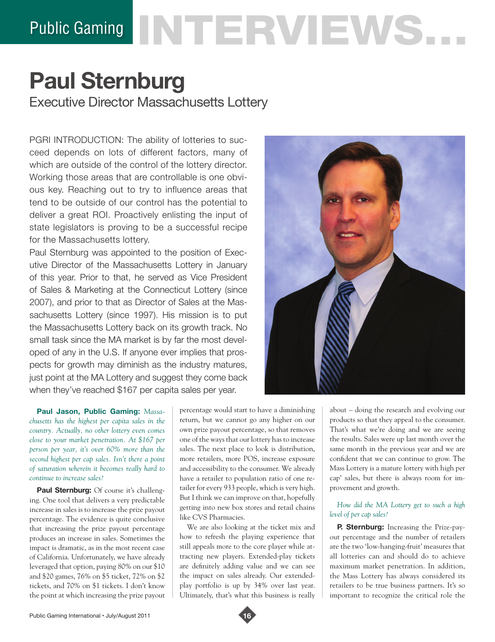# Public Gaming NTERVIEWS...

# **Paul Sternburg** Executive Director Massachusetts Lottery

PGRI INTRODUCTION: The ability of lotteries to succeed depends on lots of different factors, many of which are outside of the control of the lottery director. Working those areas that are controllable is one obvious key. Reaching out to try to influence areas that tend to be outside of our control has the potential to deliver a great ROI. Proactively enlisting the input of state legislators is proving to be a successful recipe for the Massachusetts lottery.

Paul Sternburg was appointed to the position of Executive Director of the Massachusetts Lottery in January of this year. Prior to that, he served as Vice President of Sales & Marketing at the Connecticut Lottery (since 2007), and prior to that as Director of Sales at the Massachusetts Lottery (since 1997). His mission is to put the Massachusetts Lottery back on its growth track. No small task since the MA market is by far the most developed of any in the U.S. If anyone ever implies that prospects for growth may diminish as the industry matures, just point at the MA Lottery and suggest they come back when they've reached \$167 per capita sales per year.

**Paul Jason, Public Gaming:** *Massachusetts has the highest per capita sales in the country. Actually, no other lottery even comes close to your market penetration. At \$167 per person per year, it's over 60% more than the second highest per cap sales. Isn't there a point of saturation wherein it becomes really hard to continue to increase sales?*

Paul Sternburg: Of course it's challenging. One tool that delivers a very predictable increase in sales is to increase the prize payout percentage. The evidence is quite conclusive that increasing the prize payout percentage produces an increase in sales. Sometimes the impact is dramatic, as in the most recent case of California. Unfortunately, we have already leveraged that option, paying 80% on our \$10 and \$20 games, 76% on \$5 ticket, 72% on \$2 tickets, and 70% on \$1 tickets. I don't know the point at which increasing the prize payout

percentage would start to have a diminishing return, but we cannot go any higher on our own prize payout percentage, so that removes one of the ways that our lottery has to increase sales. The next place to look is distribution, more retailers, more POS, increase exposure and accessibility to the consumer. We already have a retailer to population ratio of one retailer for every 933 people, which is very high. But I think we can improve on that, hopefully getting into new box stores and retail chains like CVS Pharmacies.

We are also looking at the ticket mix and how to refresh the playing experience that still appeals more to the core player while attracting new players. Extended-play tickets are definitely adding value and we can see the impact on sales already. Our extendedplay portfolio is up by 34% over last year. Ultimately, that's what this business is really



about – doing the research and evolving our products so that they appeal to the consumer. That's what we're doing and we are seeing the results. Sales were up last month over the same month in the previous year and we are confident that we can continue to grow. The Mass Lottery is a mature lottery with high per cap' sales, but there is always room for improvement and growth.

## *How did the MA Lottery get to such a high level of per cap sales?*

**P. Sternburg:** Increasing the Prize-payout percentage and the number of retailers are the two 'low-hanging-fruit' measures that all lotteries can and should do to achieve maximum market penetration. In addition, the Mass Lottery has always considered its retailers to be true business partners. It's so important to recognize the critical role the

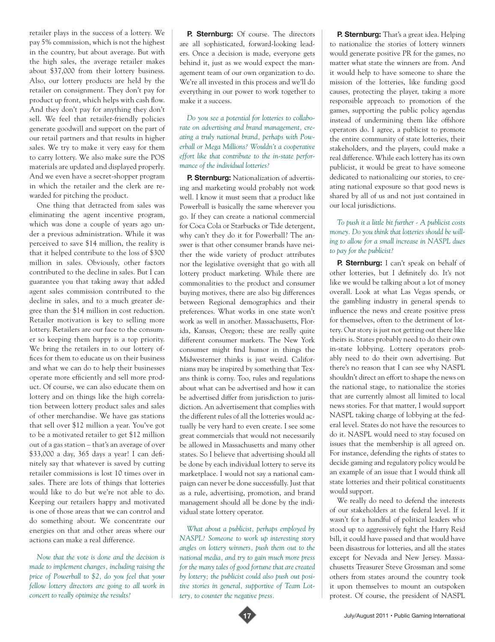retailer plays in the success of a lottery. We pay 5% commission, which is not the highest in the country, but about average. But with the high sales, the average retailer makes about \$37,000 from their lottery business. Also, our lottery products are held by the retailer on consignment. They don't pay for product up front, which helps with cash flow. And they don't pay for anything they don't sell. We feel that retailer-friendly policies generate goodwill and support on the part of our retail partners and that results in higher sales. We try to make it very easy for them to carry lottery. We also make sure the POS materials are updated and displayed properly. And we even have a secret-shopper program in which the retailer and the clerk are rewarded for pitching the product.

One thing that detracted from sales was eliminating the agent incentive program, which was done a couple of years ago under a previous administration. While it was perceived to save \$14 million, the reality is that it helped contribute to the loss of \$300 million in sales. Obviously, other factors contributed to the decline in sales. But I can guarantee you that taking away that added agent sales commission contributed to the decline in sales, and to a much greater degree than the \$14 million in cost reduction. Retailer motivation is key to selling more lottery. Retailers are our face to the consumer so keeping them happy is a top priority. We bring the retailers in to our lottery offices for them to educate us on their business and what we can do to help their businesses operate more efficiently and sell more product. Of course, we can also educate them on lottery and on things like the high correlation between lottery product sales and sales of other merchandise. We have gas stations that sell over \$12 million a year. You've got to be a motivated retailer to get \$12 million out of a gas station – that's an average of over \$33,000 a day, 365 days a year! I can definitely say that whatever is saved by cutting retailer commissions is lost 10 times over in sales. There are lots of things that lotteries would like to do but we're not able to do. Keeping our retailers happy and motivated is one of those areas that we can control and do something about. We concentrate our energies on that and other areas where our actions can make a real difference.

*Now that the vote is done and the decision is made to implement changes, including raising the price of Powerball to \$2, do you feel that your fellow lottery directors are going to all work in concert to really optimize the results?*

**P. Sternburg:** Of course. The directors are all sophisticated, forward-looking leaders. Once a decision is made, everyone gets behind it, just as we would expect the management team of our own organization to do. We're all invested in this process and we'll do everything in our power to work together to make it a success.

*Do you see a potential for lotteries to collaborate on advertising and brand management, creating a truly national brand, perhaps with Powerball or Mega Millions? Wouldn't a cooperative effort like that contribute to the in-state performance of the individual lotteries?* 

**P. Sternburg:** Nationalization of advertising and marketing would probably not work well. I know it must seem that a product like Powerball is basically the same wherever you go. If they can create a national commercial for Coca Cola or Starbucks or Tide detergent, why can't they do it for Powerball? The answer is that other consumer brands have neither the wide variety of product attributes nor the legislative oversight that go with all lottery product marketing. While there are commonalities to the product and consumer buying motives, there are also big differences between Regional demographics and their preferences. What works in one state won't work as well in another. Massachusetts, Florida, Kansas, Oregon; these are really quite different consumer markets. The New York consumer might find humor in things the Midwesterner thinks is just weird. Californians may be inspired by something that Texans think is corny. Too, rules and regulations about what can be advertised and how it can be advertised differ from jurisdiction to jurisdiction. An advertisement that complies with the different rules of all the lotteries would actually be very hard to even create. I see some great commercials that would not necessarily be allowed in Massachusetts and many other states. So I believe that advertising should all be done by each individual lottery to serve its marketplace. I would not say a national campaign can never be done successfully. Just that as a rule, advertising, promotion, and brand management should all be done by the individual state lottery operator.

*What about a publicist, perhaps employed by NASPL? Someone to work up interesting story angles on lottery winners, push them out to the national media, and try to gain much more press for the many tales of good fortune that are created by lottery; the publicist could also push out positive stories in general, supportive of Team Lottery, to counter the negative press.* 

**P. Sternburg:** That's a great idea. Helping to nationalize the stories of lottery winners would generate positive PR for the games, no matter what state the winners are from. And it would help to have someone to share the mission of the lotteries, like funding good causes, protecting the player, taking a more responsible approach to promotion of the games, supporting the public policy agendas instead of undermining them like offshore operators do. I agree, a publicist to promote the entire community of state lotteries, their stakeholders, and the players, could make a real difference. While each lottery has its own publicist, it would be great to have someone dedicated to nationalizing our stories, to creating national exposure so that good news is shared by all of us and not just contained in our local jurisdictions.

### *To push it a little bit further - A publicist costs money. Do you think that lotteries should be willing to allow for a small increase in NASPL dues to pay for the publicist?*

**P. Sternburg:** I can't speak on behalf of other lotteries, but I definitely do. It's not like we would be talking about a lot of money overall. Look at what Las Vegas spends, or the gambling industry in general spends to influence the news and create positive press for themselves, often to the detriment of lottery. Our story is just not getting out there like theirs is. States probably need to do their own in-state lobbying. Lottery operators probably need to do their own advertising. But there's no reason that I can see why NASPL shouldn't direct an effort to shape the news on the national stage, to nationalize the stories that are currently almost all limited to local news stories. For that matter, I would support NASPL taking charge of lobbying at the federal level. States do not have the resources to do it. NASPL would need to stay focused on issues that the membership is all agreed on. For instance, defending the rights of states to decide gaming and regulatory policy would be an example of an issue that I would think all state lotteries and their political constituents would support.

We really do need to defend the interests of our stakeholders at the federal level. If it wasn't for a handful of political leaders who stood up to aggressively fight the Harry Reid bill, it could have passed and that would have been disastrous for lotteries, and all the states except for Nevada and New Jersey. Massachusetts Treasurer Steve Grossman and some others from states around the country took it upon themselves to mount an outspoken protest. Of course, the president of NASPL